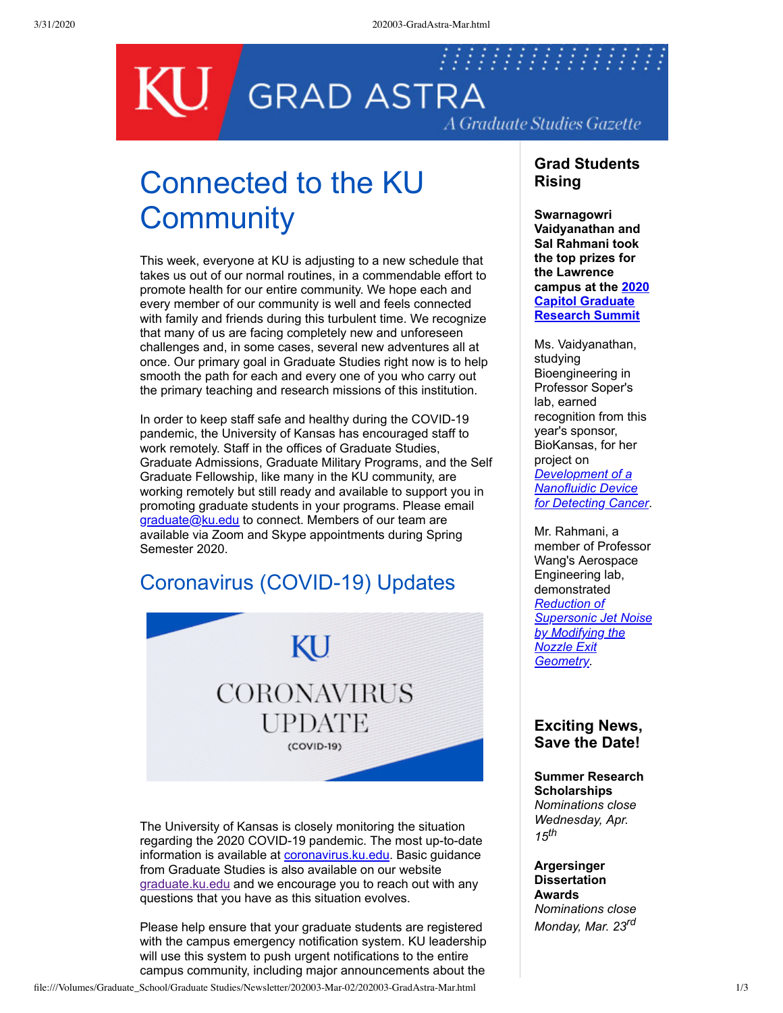

# Connected to the KU **Community**

This week, everyone at KU is adjusting to a new schedule that takes us out of our normal routines, in a commendable effort to promote health for our entire community. We hope each and every member of our community is well and feels connected with family and friends during this turbulent time. We recognize that many of us are facing completely new and unforeseen challenges and, in some cases, several new adventures all at once. Our primary goal in Graduate Studies right now is to help smooth the path for each and every one of you who carry out the primary teaching and research missions of this institution.

In order to keep staff safe and healthy during the COVID-19 pandemic, the University of Kansas has encouraged staff to work remotely. Staff in the offices of Graduate Studies, Graduate Admissions, Graduate Military Programs, and the Self Graduate Fellowship, like many in the KU community, are working remotely but still ready and available to support you in promoting graduate students in your programs. Please email [graduate@ku.edu](mailto:graduate@ku.edu) to connect. Members of our team are available via Zoom and Skype appointments during Spring Semester 2020.

#### Coronavirus (COVID-19) Updates

KU **CORONAVIRUS** UPDATE (COVID-19)

The University of Kansas is closely monitoring the situation regarding the 2020 COVID-19 pandemic. The most up-to-date information is available at [coronavirus.ku.edu.](http://coronavirus.ku.edu/) Basic guidance from Graduate Studies is also available on our website [graduate.ku.edu](http://graduate.ku.edu/) and we encourage you to reach out with any questions that you have as this situation evolves.

Please help ensure that your graduate students are registered with the campus emergency notification system. KU leadership will use this system to push urgent notifications to the entire campus community, including major announcements about the

#### **Grad Students Rising**

**Swarnagowri Vaidyanathan and Sal Rahmani took the top prizes for the Lawrence [campus at the 2020](https://www.wichita.edu/academics/gradschool/cgrs/) Capitol Graduate Research Summit**

Ms. Vaidyanathan, studying Bioengineering in Professor Soper's lab, earned recognition from this year's sponsor, BioKansas, for her project on *Development of a Nanofluidic Device [for Detecting Cancer](https://graduate.ku.edu/2020-cgrs-presenters#)*.

Mr. Rahmani, a member of Professor Wang's Aerospace Engineering lab, demonstrated *Reduction of [Supersonic Jet Noise](https://graduate.ku.edu/2020-cgrs-presenters#) by Modifying the Nozzle Exit Geometry*.

#### **Exciting News, Save the Date!**

**Summer Research Scholarships** *Nominations close Wednesday, Apr. 15th*

**Argersinger Dissertation Awards** *Nominations close Monday, Mar. 23rd*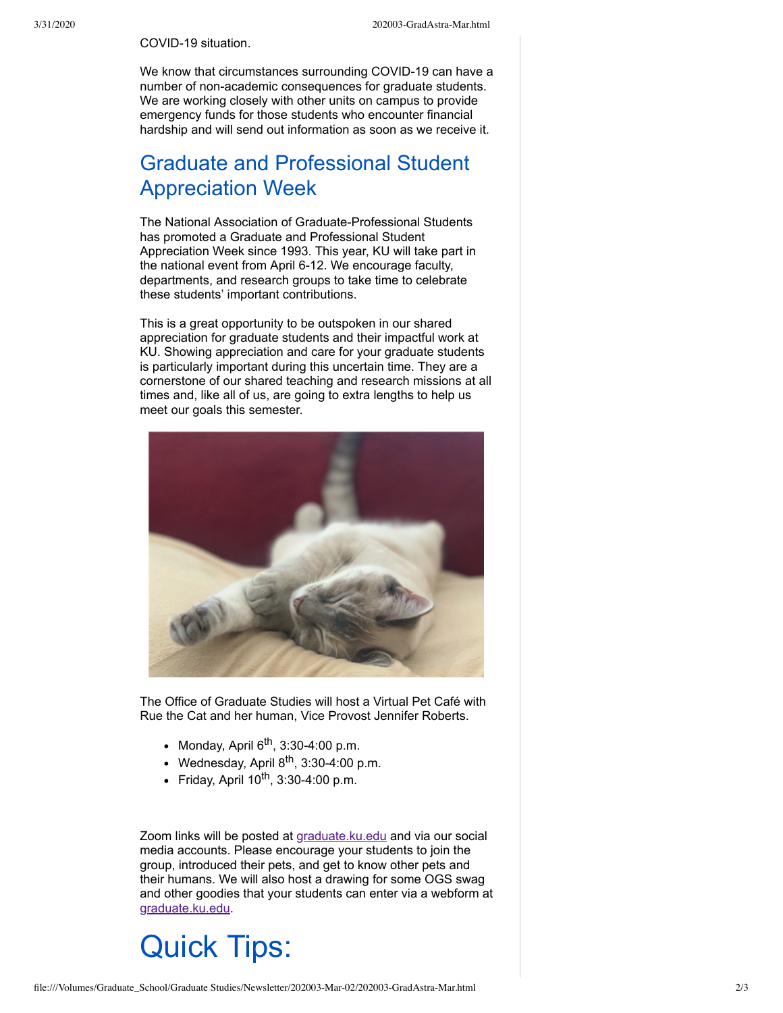#### COVID-19 situation.

We know that circumstances surrounding COVID-19 can have a number of non-academic consequences for graduate students. We are working closely with other units on campus to provide emergency funds for those students who encounter financial hardship and will send out information as soon as we receive it.

### Graduate and Professional Student Appreciation Week

The National Association of Graduate-Professional Students has promoted a Graduate and Professional Student Appreciation Week since 1993. This year, KU will take part in the national event from April 6-12. We encourage faculty, departments, and research groups to take time to celebrate these students' important contributions.

This is a great opportunity to be outspoken in our shared appreciation for graduate students and their impactful work at KU. Showing appreciation and care for your graduate students is particularly important during this uncertain time. They are a cornerstone of our shared teaching and research missions at all times and, like all of us, are going to extra lengths to help us meet our goals this semester.



The Office of Graduate Studies will host a Virtual Pet Café with Rue the Cat and her human, Vice Provost Jennifer Roberts.

- Monday, April 6<sup>th</sup>, 3:30-4:00 p.m.
- Wednesday, April 8<sup>th</sup>, 3:30-4:00 p.m.
- Friday, April  $10^{th}$ , 3:30-4:00 p.m.

Zoom links will be posted at [graduate.ku.edu](http://graduate.ku.edu/) and via our social media accounts. Please encourage your students to join the group, introduced their pets, and get to know other pets and their humans. We will also host a drawing for some OGS swag and other goodies that your students can enter via a webform at [graduate.ku.edu.](http://graduate.ku.edu/)

## Quick Tips: